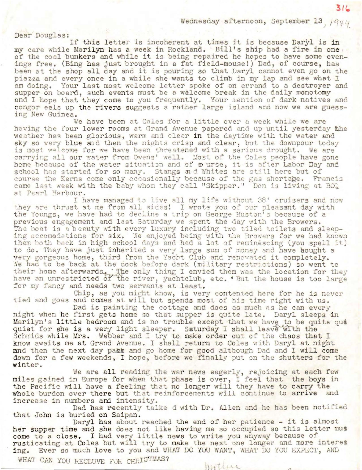Wednesday afternoon, September 13, 1944

Dear Douglas:

If this letter is incoherent at times it is because Daryl is in my care while Marilyn has a week in Rockland. Bill's ship had a fire in one of the coal bunkers and while it is being repaired he hopes to have some evenings free. (Bing has just brought in a fat field-mouse!) Dad, of course, has been at the shop all day and it is pouring so that Daryl cannot even go on the piazza and every once in a while she wants to climb in my lap and see what I am doing. Your last most welcome letter spoke of an errand to a destroyer and supper on board, such events must be a welcome break in the daily monotomy and I hope that they come to you frequently. Your mention of dark natives and congor eels up the rivers suggests a rather large island and now we are guessing New Guinea.

We have been at Coles for a little over a week while we are having the four lower rooms at Grand Avenue papered and up until yesterday the weather has been glorious, warm and clear in the daytime with the water and sky so very blue and then the nights crisp and clear, but the downpour today is most welcome for we have been threatened with a serious drought. We are carrying all our water from Owens' well. Most of the Coles people have gone home because of the water situation and of ourse, it is after Labor Day and school has started for so many. Stangs and Whites are still here but of course the Kerns come only occasionally because of the gas shortage. Francis came last week with the baby whom they call "Skipper." Don is living at BO2 at Pearl Harbour.

I have managed to live all my life without 38' cruisers and now they are thrust at me from all sides! I wrote you of our pleasant day with the Youngs, we have had to decline a trip on George Huston's because of a previous engagement and last Saturday we spent the day with the Browers. The boat is a beauty with every luxury including two tiled toilets and sleeping accomadations for six. We enjoyed being with the Browers for we had known them both back in high school days and had a lot of reminescing (you spell it) to do. They have just inherited a very large sum of money and have bought a very gorgeous home, third from the Yacht Club and renovated it completely. We had to be back at the dock before dark (military restrictions) so went to their home afterwards. The only thing I envied them was the location for they have an unrestricted of the river, yachtclub, etc. 'But the house is too large for my fancy and needs two servants at least.

Chip, as you might know, is very contented here for he is never tied and goes and comes at will but spends most of his time right with us.

Dad is painting the cottage and does as much as he can every night when he first gets home so that supper is quite late. Daryl sleeps in Marilyn's little bedroom and is no trouble except that we have to be quite que quiet for she is a very light sleeper. Saturday I shall leave with the Schmids while Mrs. Webber and I try to make order out of the chaos that I know awaits me at Grand Avenue. I shall return to Coles with Daryl at night and then the next day pakk and go home for good although Dad and I will come down for a few weekends, I hope, before we finally put on the shutters for the winter.

We are all reading the war news eagerly, rejoicing at each few miles gained in Europe for when that phase is over, I feel that the boys in the Pacific will have a feeling that no longer will they have to carry the whole burdon over there but that reinforcements will continue to arrive and increase in numbers and intensity.

Dad has recently talke d with Dr. Allen and he has been notified that John is buried on Saipan.

Daryl has about reached the end of her patience - it is almost her supper time and she does not like having me so occupied so this letter mus come to a close. I had very little news to write you anyway because of rusticating at Coles but will try to make the next one longer and more interes ing. Ever so much love to you and WHAT DO YOU WANT, WHAT DO YOU EXPECT, AND WHAT CAN YOU RECLUVE FOR CHRISTMAS?